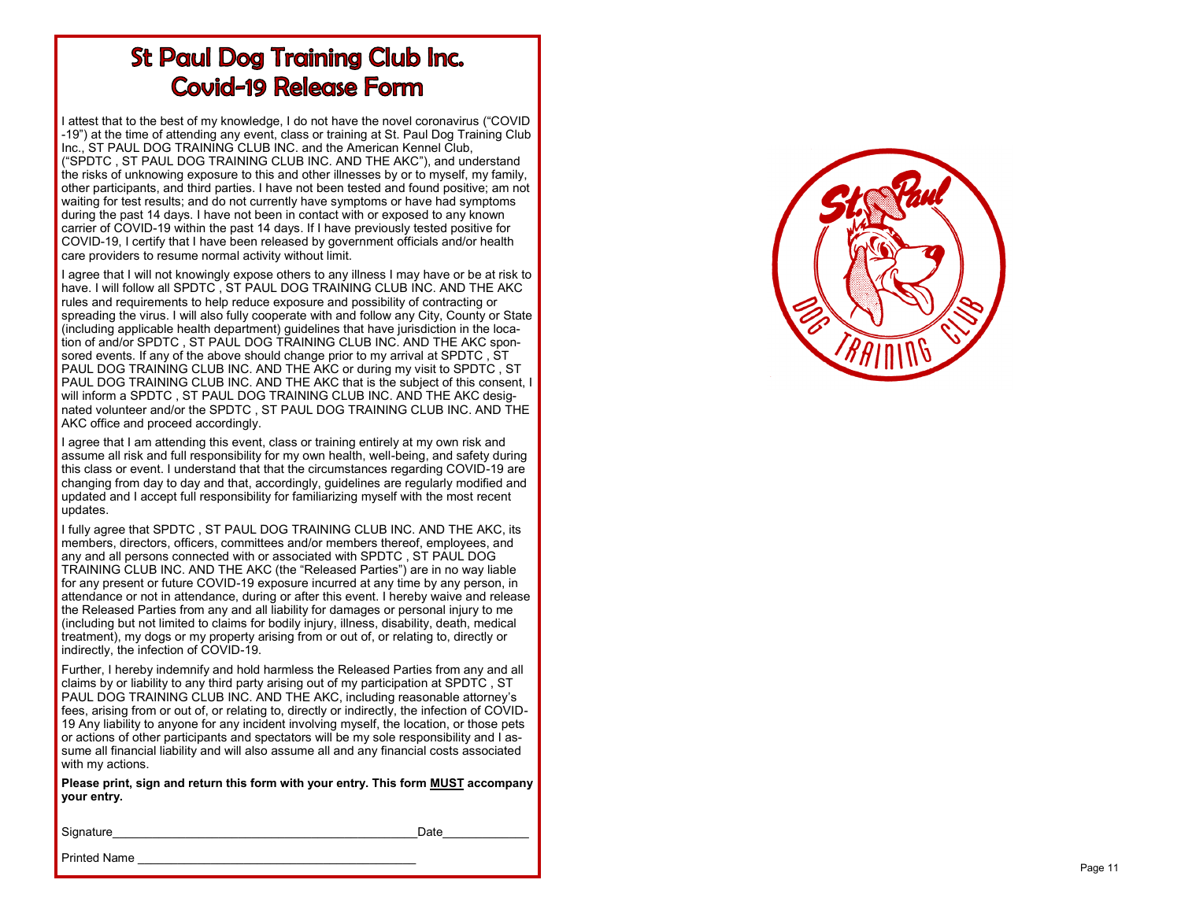# **St Paul Dog Training Club Inc. Covid-19 Release Form**

I attest that to the best of my knowledge, I do not have the novel coronavirus ("COVID -19") at the time of attending any event, class or training at St. Paul Dog Training Club Inc., ST PAUL DOG TRAINING CLUB INC. and the American Kennel Club, ("SPDTC , ST PAUL DOG TRAINING CLUB INC. AND THE AKC"), and understand the risks of unknowing exposure to this and other illnesses by or to myself, my family, other participants, and third parties. I have not been tested and found positive; am not waiting for test results; and do not currently have symptoms or have had symptoms during the past 14 days. I have not been in contact with or exposed to any known carrier of COVID -19 within the past 14 days. If I have previously tested positive for COVID -19, I certify that I have been released by government officials and/or health care providers to resume normal activity without limit.

I agree that I will not knowingly expose others to any illness I may have or be at risk to have. I will follow all SPDTC , ST PAUL DOG TRAINING CLUB INC. AND THE AKC rules and requirements to help reduce exposure and possibility of contracting or spreading the virus. I will also fully cooperate with and follow any City, County or State (including applicable health department) guidelines that have jurisdiction in the location of and/or SPDTC , ST PAUL DOG TRAINING CLUB INC. AND THE AKC sponsored events. If any of the above should change prior to my arrival at SPDTC , ST PAUL DOG TRAINING CLUB INC. AND THE AKC or during my visit to SPDTC , ST PAUL DOG TRAINING CLUB INC. AND THE AKC that is the subject of this consent, I will inform a SPDTC , ST PAUL DOG TRAINING CLUB INC. AND THE AKC designated volunteer and/or the SPDTC , ST PAUL DOG TRAINING CLUB INC. AND THE AKC office and proceed accordingly.

I agree that I am attending this event, class or training entirely at my own risk and assume all risk and full responsibility for my own health, well -being, and safety during this class or event. I understand that that the circumstances regarding COVID -19 are changing from day to day and that, accordingly, guidelines are regularly modified and updated and I accept full responsibility for familiarizing myself with the most recent updates.

I fully agree that SPDTC , ST PAUL DOG TRAINING CLUB INC. AND THE AKC, its members, directors, officers, committees and/or members thereof, employees, and any and all persons connected with or associated with SPDTC , ST PAUL DOG TRAINING CLUB INC. AND THE AKC (the "Released Parties") are in no way liable for any present or future COVID -19 exposure incurred at any time by any person, in attendance or not in attendance, during or after this event. I hereby waive and release the Released Parties from any and all liability for damages or personal injury to me (including but not limited to claims for bodily injury, illness, disability, death, medical treatment), my dogs or my property arising from or out of, or relating to, directly or indirectly, the infection of COVID -19.

Further, I hereby indemnify and hold harmless the Released Parties from any and all claims by or liability to any third party arising out of my participation at SPDTC , ST PAUL DOG TRAINING CLUB INC. AND THE AKC, including reasonable attorney 's fees, arising from or out of, or relating to, directly or indirectly, the infection of COVID - 19 Any liability to anyone for any incident involving myself, the location, or those pets or actions of other participants and spectators will be my sole responsibility and I assume all financial liability and will also assume all and any financial costs associated with my actions.

**Please print, sign and return this form with your entry. This form MUST accompany your entry.**

Signature Date

Printed Name